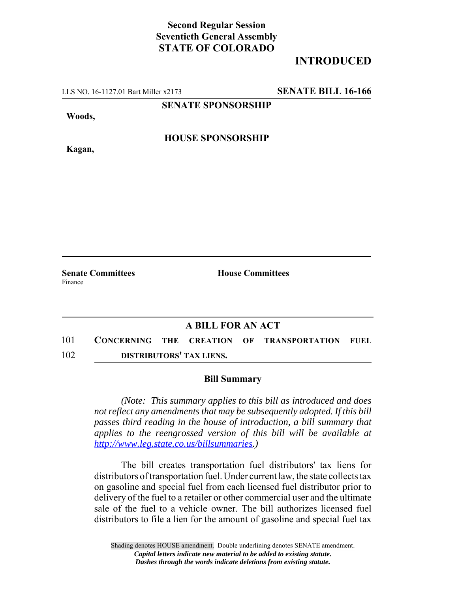## **Second Regular Session Seventieth General Assembly STATE OF COLORADO**

## **INTRODUCED**

LLS NO. 16-1127.01 Bart Miller x2173 **SENATE BILL 16-166**

**SENATE SPONSORSHIP**

**Woods,**

**Kagan,**

**HOUSE SPONSORSHIP**

**Senate Committees House Committees** Finance

## **A BILL FOR AN ACT**

101 **CONCERNING THE CREATION OF TRANSPORTATION FUEL** 102 **DISTRIBUTORS' TAX LIENS.**

## **Bill Summary**

*(Note: This summary applies to this bill as introduced and does not reflect any amendments that may be subsequently adopted. If this bill passes third reading in the house of introduction, a bill summary that applies to the reengrossed version of this bill will be available at http://www.leg.state.co.us/billsummaries.)*

The bill creates transportation fuel distributors' tax liens for distributors of transportation fuel. Under current law, the state collects tax on gasoline and special fuel from each licensed fuel distributor prior to delivery of the fuel to a retailer or other commercial user and the ultimate sale of the fuel to a vehicle owner. The bill authorizes licensed fuel distributors to file a lien for the amount of gasoline and special fuel tax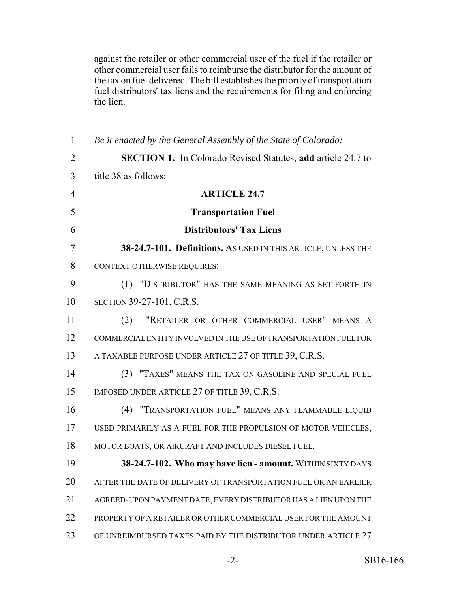against the retailer or other commercial user of the fuel if the retailer or other commercial user fails to reimburse the distributor for the amount of the tax on fuel delivered. The bill establishes the priority of transportation fuel distributors' tax liens and the requirements for filing and enforcing the lien.

| $\mathbf{1}$   | Be it enacted by the General Assembly of the State of Colorado:     |
|----------------|---------------------------------------------------------------------|
| $\overline{2}$ | <b>SECTION 1.</b> In Colorado Revised Statutes, add article 24.7 to |
| 3              | title 38 as follows:                                                |
| $\overline{4}$ | <b>ARTICLE 24.7</b>                                                 |
| 5              | <b>Transportation Fuel</b>                                          |
| 6              | <b>Distributors' Tax Liens</b>                                      |
| 7              | 38-24.7-101. Definitions. As USED IN THIS ARTICLE, UNLESS THE       |
| 8              | <b>CONTEXT OTHERWISE REQUIRES:</b>                                  |
| 9              | (1) "DISTRIBUTOR" HAS THE SAME MEANING AS SET FORTH IN              |
| 10             | SECTION 39-27-101, C.R.S.                                           |
| 11             | "RETAILER OR OTHER COMMERCIAL USER" MEANS A<br>(2)                  |
| 12             | COMMERCIAL ENTITY INVOLVED IN THE USE OF TRANSPORTATION FUEL FOR    |
| 13             | A TAXABLE PURPOSE UNDER ARTICLE 27 OF TITLE 39, C.R.S.              |
| 14             | (3) "TAXES" MEANS THE TAX ON GASOLINE AND SPECIAL FUEL              |
| 15             | IMPOSED UNDER ARTICLE 27 OF TITLE 39, C.R.S.                        |
| 16             | (4) "TRANSPORTATION FUEL" MEANS ANY FLAMMABLE LIQUID                |
| 17             | USED PRIMARILY AS A FUEL FOR THE PROPULSION OF MOTOR VEHICLES,      |
| 18             | MOTOR BOATS, OR AIRCRAFT AND INCLUDES DIESEL FUEL.                  |
| 19             | 38-24.7-102. Who may have lien - amount. WITHIN SIXTY DAYS          |
| 20             | AFTER THE DATE OF DELIVERY OF TRANSPORTATION FUEL OR AN EARLIER     |
| 21             | AGREED-UPON PAYMENT DATE, EVERY DISTRIBUTOR HAS A LIEN UPON THE     |
| 22             | PROPERTY OF A RETAILER OR OTHER COMMERCIAL USER FOR THE AMOUNT      |
| 23             | OF UNREIMBURSED TAXES PAID BY THE DISTRIBUTOR UNDER ARTICLE 27      |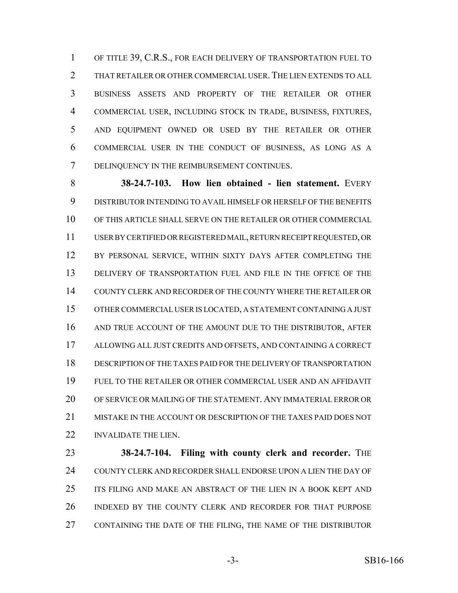OF TITLE 39, C.R.S., FOR EACH DELIVERY OF TRANSPORTATION FUEL TO 2 THAT RETAILER OR OTHER COMMERCIAL USER. THE LIEN EXTENDS TO ALL BUSINESS ASSETS AND PROPERTY OF THE RETAILER OR OTHER COMMERCIAL USER, INCLUDING STOCK IN TRADE, BUSINESS, FIXTURES, AND EQUIPMENT OWNED OR USED BY THE RETAILER OR OTHER COMMERCIAL USER IN THE CONDUCT OF BUSINESS, AS LONG AS A DELINQUENCY IN THE REIMBURSEMENT CONTINUES.

 **38-24.7-103. How lien obtained - lien statement.** EVERY DISTRIBUTOR INTENDING TO AVAIL HIMSELF OR HERSELF OF THE BENEFITS OF THIS ARTICLE SHALL SERVE ON THE RETAILER OR OTHER COMMERCIAL USER BY CERTIFIED OR REGISTERED MAIL, RETURN RECEIPT REQUESTED, OR 12 BY PERSONAL SERVICE, WITHIN SIXTY DAYS AFTER COMPLETING THE DELIVERY OF TRANSPORTATION FUEL AND FILE IN THE OFFICE OF THE COUNTY CLERK AND RECORDER OF THE COUNTY WHERE THE RETAILER OR OTHER COMMERCIAL USER IS LOCATED, A STATEMENT CONTAINING A JUST AND TRUE ACCOUNT OF THE AMOUNT DUE TO THE DISTRIBUTOR, AFTER ALLOWING ALL JUST CREDITS AND OFFSETS, AND CONTAINING A CORRECT DESCRIPTION OF THE TAXES PAID FOR THE DELIVERY OF TRANSPORTATION FUEL TO THE RETAILER OR OTHER COMMERCIAL USER AND AN AFFIDAVIT OF SERVICE OR MAILING OF THE STATEMENT. ANY IMMATERIAL ERROR OR MISTAKE IN THE ACCOUNT OR DESCRIPTION OF THE TAXES PAID DOES NOT **INVALIDATE THE LIEN.** 

 **38-24.7-104. Filing with county clerk and recorder.** THE COUNTY CLERK AND RECORDER SHALL ENDORSE UPON A LIEN THE DAY OF ITS FILING AND MAKE AN ABSTRACT OF THE LIEN IN A BOOK KEPT AND INDEXED BY THE COUNTY CLERK AND RECORDER FOR THAT PURPOSE CONTAINING THE DATE OF THE FILING, THE NAME OF THE DISTRIBUTOR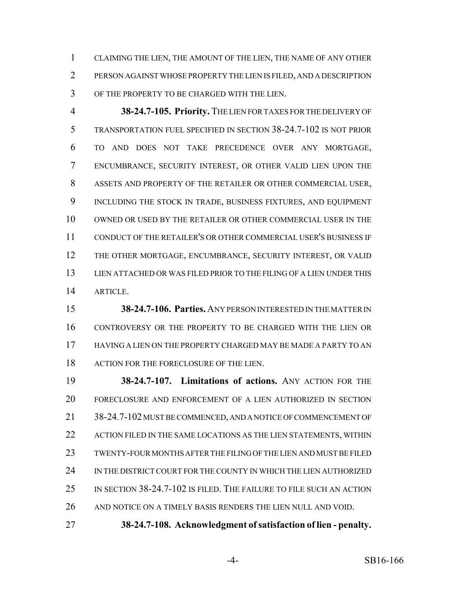CLAIMING THE LIEN, THE AMOUNT OF THE LIEN, THE NAME OF ANY OTHER PERSON AGAINST WHOSE PROPERTY THE LIEN IS FILED, AND A DESCRIPTION OF THE PROPERTY TO BE CHARGED WITH THE LIEN.

 **38-24.7-105. Priority.** THE LIEN FOR TAXES FOR THE DELIVERY OF TRANSPORTATION FUEL SPECIFIED IN SECTION 38-24.7-102 IS NOT PRIOR TO AND DOES NOT TAKE PRECEDENCE OVER ANY MORTGAGE, ENCUMBRANCE, SECURITY INTEREST, OR OTHER VALID LIEN UPON THE ASSETS AND PROPERTY OF THE RETAILER OR OTHER COMMERCIAL USER, INCLUDING THE STOCK IN TRADE, BUSINESS FIXTURES, AND EQUIPMENT OWNED OR USED BY THE RETAILER OR OTHER COMMERCIAL USER IN THE CONDUCT OF THE RETAILER'S OR OTHER COMMERCIAL USER'S BUSINESS IF THE OTHER MORTGAGE, ENCUMBRANCE, SECURITY INTEREST, OR VALID LIEN ATTACHED OR WAS FILED PRIOR TO THE FILING OF A LIEN UNDER THIS ARTICLE.

 **38-24.7-106. Parties.** ANY PERSON INTERESTED IN THE MATTER IN CONTROVERSY OR THE PROPERTY TO BE CHARGED WITH THE LIEN OR HAVING A LIEN ON THE PROPERTY CHARGED MAY BE MADE A PARTY TO AN 18 ACTION FOR THE FORECLOSURE OF THE LIEN.

 **38-24.7-107. Limitations of actions.** ANY ACTION FOR THE FORECLOSURE AND ENFORCEMENT OF A LIEN AUTHORIZED IN SECTION 38-24.7-102 MUST BE COMMENCED, AND A NOTICE OF COMMENCEMENT OF 22 ACTION FILED IN THE SAME LOCATIONS AS THE LIEN STATEMENTS, WITHIN TWENTY-FOUR MONTHS AFTER THE FILING OF THE LIEN AND MUST BE FILED IN THE DISTRICT COURT FOR THE COUNTY IN WHICH THE LIEN AUTHORIZED IN SECTION 38-24.7-102 IS FILED. THE FAILURE TO FILE SUCH AN ACTION AND NOTICE ON A TIMELY BASIS RENDERS THE LIEN NULL AND VOID.

**38-24.7-108. Acknowledgment of satisfaction of lien - penalty.**